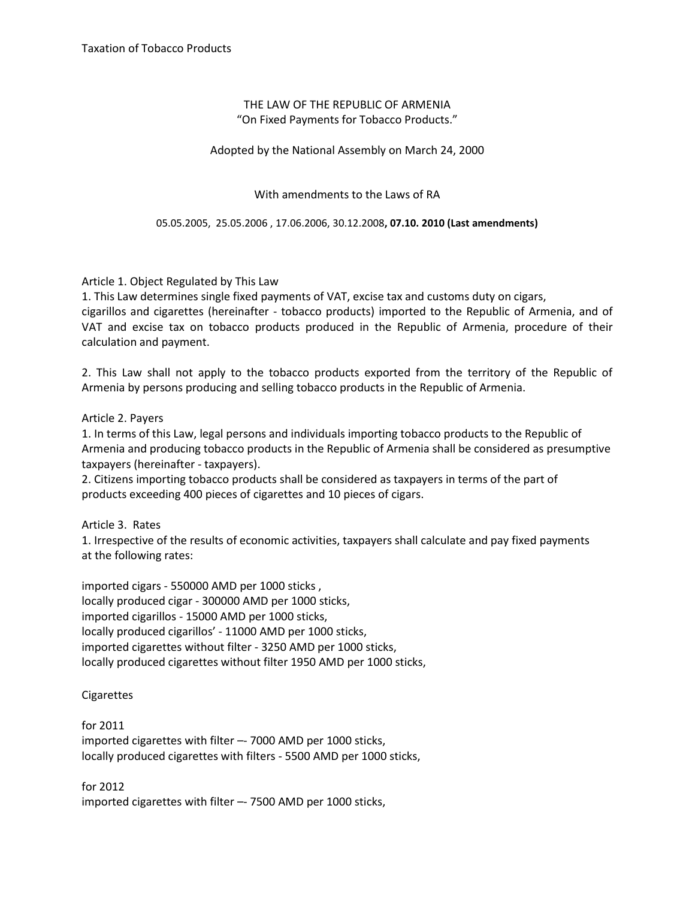## THE LAW OF THE REPUBLIC OF ARMENIA "On Fixed Payments for Tobacco Products."

Adopted by the National Assembly on March 24, 2000

With amendments to the Laws of RA

05.05.2005, 25.05.2006 , 17.06.2006, 30.12.2008**, 07.10. 2010 (Last amendments)**

Article 1. Object Regulated by This Law

1. This Law determines single fixed payments of VAT, excise tax and customs duty on cigars, cigarillos and cigarettes (hereinafter - tobacco products) imported to the Republic of Armenia, and of VAT and excise tax on tobacco products produced in the Republic of Armenia, procedure of their calculation and payment.

2. This Law shall not apply to the tobacco products exported from the territory of the Republic of Armenia by persons producing and selling tobacco products in the Republic of Armenia.

Article 2. Payers

1. In terms of this Law, legal persons and individuals importing tobacco products to the Republic of Armenia and producing tobacco products in the Republic of Armenia shall be considered as presumptive taxpayers (hereinafter - taxpayers).

2. Citizens importing tobacco products shall be considered as taxpayers in terms of the part of products exceeding 400 pieces of cigarettes and 10 pieces of cigars.

Article 3. Rates

1. Irrespective of the results of economic activities, taxpayers shall calculate and pay fixed payments at the following rates:

imported cigars - 550000 AMD per 1000 sticks , locally produced cigar - 300000 AMD per 1000 sticks, imported cigarillos - 15000 AMD per 1000 sticks, locally produced cigarillos' - 11000 AMD per 1000 sticks, imported cigarettes without filter - 3250 AMD per 1000 sticks, locally produced cigarettes without filter 1950 AMD per 1000 sticks,

**Cigarettes** 

for 2011 imported cigarettes with filter –- 7000 AMD per 1000 sticks, locally produced cigarettes with filters - 5500 AMD per 1000 sticks,

for 2012 imported cigarettes with filter –- 7500 AMD per 1000 sticks,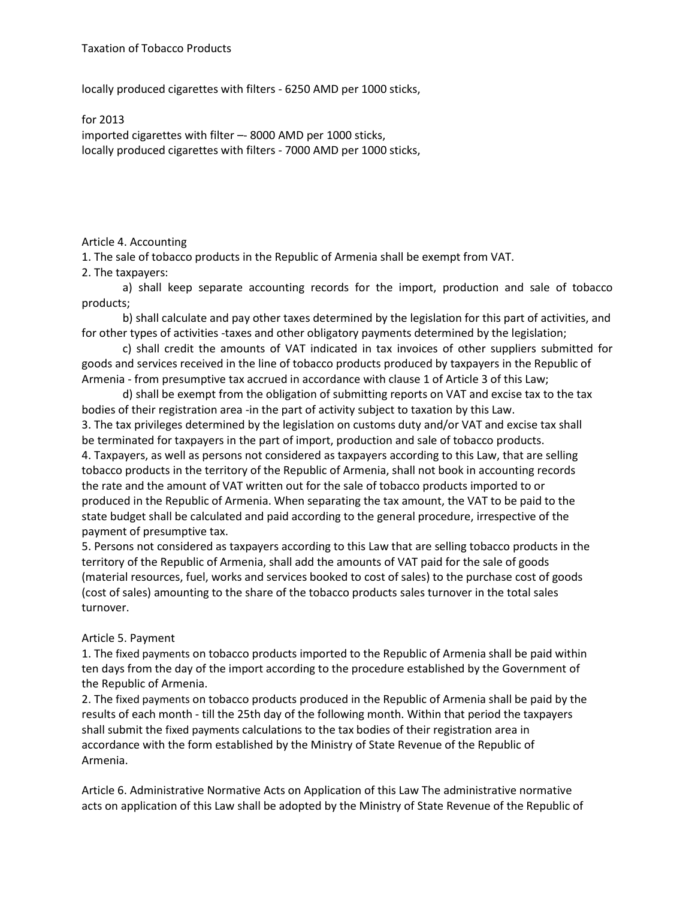locally produced cigarettes with filters - 6250 AMD per 1000 sticks,

for 2013 imported cigarettes with filter –- 8000 AMD per 1000 sticks, locally produced cigarettes with filters - 7000 AMD per 1000 sticks,

## Article 4. Accounting

1. The sale of tobacco products in the Republic of Armenia shall be exempt from VAT.

2. The taxpayers:

a) shall keep separate accounting records for the import, production and sale of tobacco products;

b) shall calculate and pay other taxes determined by the legislation for this part of activities, and for other types of activities -taxes and other obligatory payments determined by the legislation;

c) shall credit the amounts of VAT indicated in tax invoices of other suppliers submitted for goods and services received in the line of tobacco products produced by taxpayers in the Republic of Armenia - from presumptive tax accrued in accordance with clause 1 of Article 3 of this Law;

d) shall be exempt from the obligation of submitting reports on VAT and excise tax to the tax bodies of their registration area -in the part of activity subject to taxation by this Law. 3. The tax privileges determined by the legislation on customs duty and/or VAT and excise tax shall

be terminated for taxpayers in the part of import, production and sale of tobacco products. 4. Taxpayers, as well as persons not considered as taxpayers according to this Law, that are selling tobacco products in the territory of the Republic of Armenia, shall not book in accounting records the rate and the amount of VAT written out for the sale of tobacco products imported to or produced in the Republic of Armenia. When separating the tax amount, the VAT to be paid to the state budget shall be calculated and paid according to the general procedure, irrespective of the payment of presumptive tax.

5. Persons not considered as taxpayers according to this Law that are selling tobacco products in the territory of the Republic of Armenia, shall add the amounts of VAT paid for the sale of goods (material resources, fuel, works and services booked to cost of sales) to the purchase cost of goods (cost of sales) amounting to the share of the tobacco products sales turnover in the total sales turnover.

## Article 5. Payment

1. The fixed payments on tobacco products imported to the Republic of Armenia shall be paid within ten days from the day of the import according to the procedure established by the Government of the Republic of Armenia.

2. The fixed payments on tobacco products produced in the Republic of Armenia shall be paid by the results of each month - till the 25th day of the following month. Within that period the taxpayers shall submit the fixed payments calculations to the tax bodies of their registration area in accordance with the form established by the Ministry of State Revenue of the Republic of Armenia.

Article 6. Administrative Normative Acts on Application of this Law The administrative normative acts on application of this Law shall be adopted by the Ministry of State Revenue of the Republic of